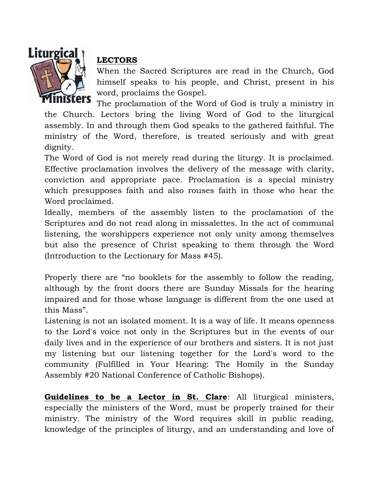

## **LECTORS**

When the Sacred Scriptures are read in the Church, God himself speaks to his people, and Christ, present in his word, proclaims the Gospel.

The proclamation of the Word of God is truly a ministry in the Church. Lectors bring the living Word of God to the liturgical assembly. In and through them God speaks to the gathered faithful. The ministry of the Word, therefore, is treated seriously and with great dignity.

The Word of God is not merely read during the liturgy. It is proclaimed. Effective proclamation involves the delivery of the message with clarity, conviction and appropriate pace. Proclamation is a special ministry which presupposes faith and also rouses faith in those who hear the Word proclaimed.

Ideally, members of the assembly listen to the proclamation of the Scriptures and do not read along in missalettes. In the act of communal listening, the worshippers experience not only unity among themselves but also the presence of Christ speaking to them through the Word (Introduction to the Lectionary for Mass #45).

Properly there are "no booklets for the assembly to follow the reading, although by the front doors there are Sunday Missals for the hearing impaired and for those whose language is different from the one used at this Mass".

Listening is not an isolated moment. It is a way of life. It means openness to the Lord's voice not only in the Scriptures but in the events of our daily lives and in the experience of our brothers and sisters. It is not just my listening but our listening together for the Lord's word to the community (Fulfilled in Your Hearing: The Homily in the Sunday Assembly #20 National Conference of Catholic Bishops).

**Guidelines to be a Lector in St. Clare**: All liturgical ministers, especially the ministers of the Word, must be properly trained for their ministry. The ministry of the Word requires skill in public reading, knowledge of the principles of liturgy, and an understanding and love of